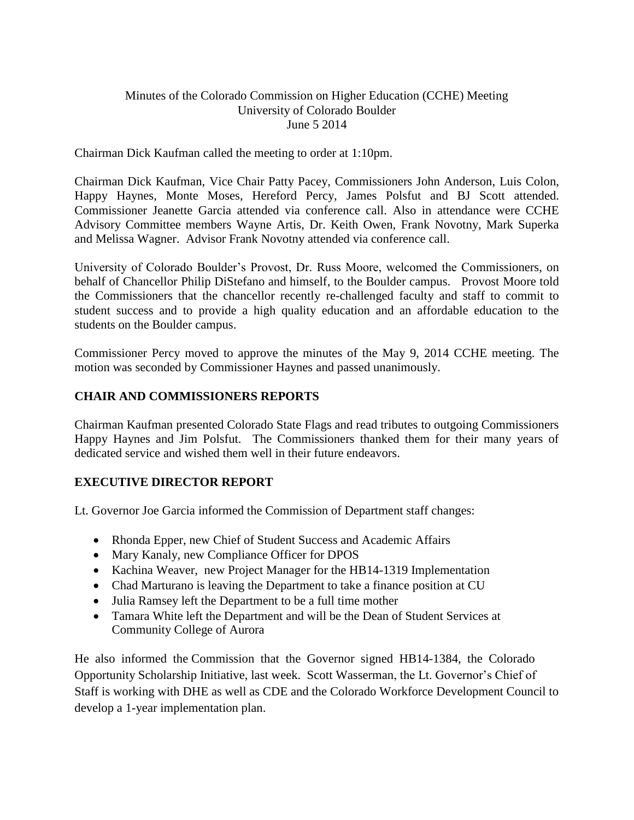## Minutes of the Colorado Commission on Higher Education (CCHE) Meeting University of Colorado Boulder June 5 2014

Chairman Dick Kaufman called the meeting to order at 1:10pm.

Chairman Dick Kaufman, Vice Chair Patty Pacey, Commissioners John Anderson, Luis Colon, Happy Haynes, Monte Moses, Hereford Percy, James Polsfut and BJ Scott attended. Commissioner Jeanette Garcia attended via conference call. Also in attendance were CCHE Advisory Committee members Wayne Artis, Dr. Keith Owen, Frank Novotny, Mark Superka and Melissa Wagner. Advisor Frank Novotny attended via conference call.

University of Colorado Boulder's Provost, Dr. Russ Moore, welcomed the Commissioners, on behalf of Chancellor Philip DiStefano and himself, to the Boulder campus. Provost Moore told the Commissioners that the chancellor recently re-challenged faculty and staff to commit to student success and to provide a high quality education and an affordable education to the students on the Boulder campus.

Commissioner Percy moved to approve the minutes of the May 9, 2014 CCHE meeting. The motion was seconded by Commissioner Haynes and passed unanimously.

## **CHAIR AND COMMISSIONERS REPORTS**

Chairman Kaufman presented Colorado State Flags and read tributes to outgoing Commissioners Happy Haynes and Jim Polsfut. The Commissioners thanked them for their many years of dedicated service and wished them well in their future endeavors.

# **EXECUTIVE DIRECTOR REPORT**

Lt. Governor Joe Garcia informed the Commission of Department staff changes:

- Rhonda Epper, new Chief of Student Success and Academic Affairs
- Mary Kanaly, new Compliance Officer for DPOS
- Kachina Weaver, new Project Manager for the HB14-1319 Implementation
- Chad Marturano is leaving the Department to take a finance position at CU
- Julia Ramsey left the Department to be a full time mother
- Tamara White left the Department and will be the Dean of Student Services at Community College of Aurora

He also informed the Commission that the Governor signed HB14-1384, the Colorado Opportunity Scholarship Initiative, last week. Scott Wasserman, the Lt. Governor's Chief of Staff is working with DHE as well as CDE and the Colorado Workforce Development Council to develop a 1-year implementation plan.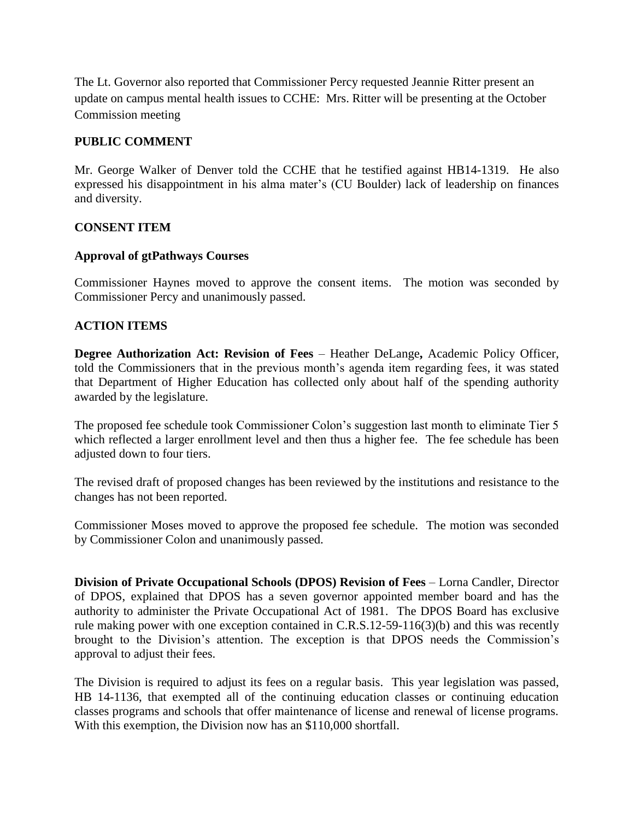The Lt. Governor also reported that Commissioner Percy requested Jeannie Ritter present an update on campus mental health issues to CCHE: Mrs. Ritter will be presenting at the October Commission meeting

## **PUBLIC COMMENT**

Mr. George Walker of Denver told the CCHE that he testified against HB14-1319. He also expressed his disappointment in his alma mater's (CU Boulder) lack of leadership on finances and diversity.

#### **CONSENT ITEM**

## **Approval of gtPathways Courses**

Commissioner Haynes moved to approve the consent items. The motion was seconded by Commissioner Percy and unanimously passed.

## **ACTION ITEMS**

**Degree Authorization Act: Revision of Fees** – Heather DeLange**,** Academic Policy Officer, told the Commissioners that in the previous month's agenda item regarding fees, it was stated that Department of Higher Education has collected only about half of the spending authority awarded by the legislature.

The proposed fee schedule took Commissioner Colon's suggestion last month to eliminate Tier 5 which reflected a larger enrollment level and then thus a higher fee. The fee schedule has been adjusted down to four tiers.

The revised draft of proposed changes has been reviewed by the institutions and resistance to the changes has not been reported.

Commissioner Moses moved to approve the proposed fee schedule. The motion was seconded by Commissioner Colon and unanimously passed.

**Division of Private Occupational Schools (DPOS) Revision of Fees** – Lorna Candler, Director of DPOS, explained that DPOS has a seven governor appointed member board and has the authority to administer the Private Occupational Act of 1981. The DPOS Board has exclusive rule making power with one exception contained in C.R.S.12-59-116(3)(b) and this was recently brought to the Division's attention. The exception is that DPOS needs the Commission's approval to adjust their fees.

The Division is required to adjust its fees on a regular basis. This year legislation was passed, HB 14-1136, that exempted all of the continuing education classes or continuing education classes programs and schools that offer maintenance of license and renewal of license programs. With this exemption, the Division now has an \$110,000 shortfall.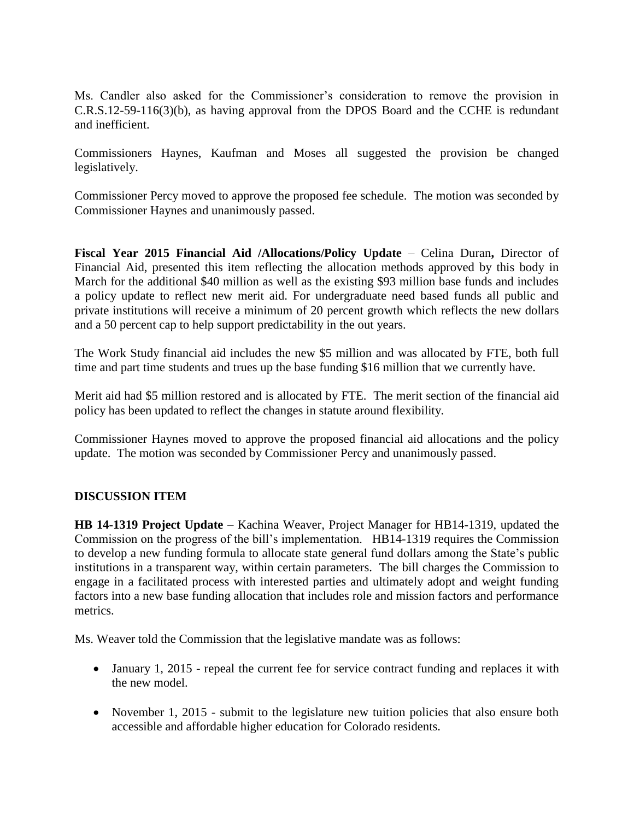Ms. Candler also asked for the Commissioner's consideration to remove the provision in C.R.S.12-59-116(3)(b), as having approval from the DPOS Board and the CCHE is redundant and inefficient.

Commissioners Haynes, Kaufman and Moses all suggested the provision be changed legislatively.

Commissioner Percy moved to approve the proposed fee schedule. The motion was seconded by Commissioner Haynes and unanimously passed.

**Fiscal Year 2015 Financial Aid /Allocations/Policy Update** – Celina Duran**,** Director of Financial Aid, presented this item reflecting the allocation methods approved by this body in March for the additional \$40 million as well as the existing \$93 million base funds and includes a policy update to reflect new merit aid. For undergraduate need based funds all public and private institutions will receive a minimum of 20 percent growth which reflects the new dollars and a 50 percent cap to help support predictability in the out years.

The Work Study financial aid includes the new \$5 million and was allocated by FTE, both full time and part time students and trues up the base funding \$16 million that we currently have.

Merit aid had \$5 million restored and is allocated by FTE. The merit section of the financial aid policy has been updated to reflect the changes in statute around flexibility.

Commissioner Haynes moved to approve the proposed financial aid allocations and the policy update. The motion was seconded by Commissioner Percy and unanimously passed.

#### **DISCUSSION ITEM**

**HB 14-1319 Project Update** – Kachina Weaver, Project Manager for HB14-1319, updated the Commission on the progress of the bill's implementation. HB14-1319 requires the Commission to develop a new funding formula to allocate state general fund dollars among the State's public institutions in a transparent way, within certain parameters. The bill charges the Commission to engage in a facilitated process with interested parties and ultimately adopt and weight funding factors into a new base funding allocation that includes role and mission factors and performance metrics.

Ms. Weaver told the Commission that the legislative mandate was as follows:

- January 1, 2015 repeal the current fee for service contract funding and replaces it with the new model.
- November 1, 2015 submit to the legislature new tuition policies that also ensure both accessible and affordable higher education for Colorado residents.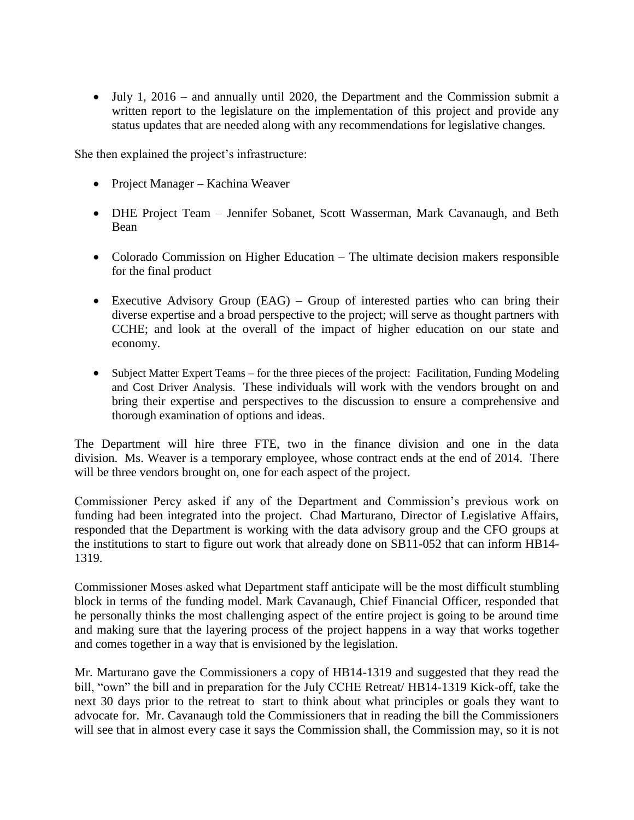July 1, 2016 – and annually until 2020, the Department and the Commission submit a written report to the legislature on the implementation of this project and provide any status updates that are needed along with any recommendations for legislative changes.

She then explained the project's infrastructure:

- Project Manager Kachina Weaver
- DHE Project Team Jennifer Sobanet, Scott Wasserman, Mark Cavanaugh, and Beth Bean
- Colorado Commission on Higher Education The ultimate decision makers responsible for the final product
- Executive Advisory Group (EAG) Group of interested parties who can bring their diverse expertise and a broad perspective to the project; will serve as thought partners with CCHE; and look at the overall of the impact of higher education on our state and economy.
- Subject Matter Expert Teams for the three pieces of the project: Facilitation, Funding Modeling and Cost Driver Analysis. These individuals will work with the vendors brought on and bring their expertise and perspectives to the discussion to ensure a comprehensive and thorough examination of options and ideas.

The Department will hire three FTE, two in the finance division and one in the data division. Ms. Weaver is a temporary employee, whose contract ends at the end of 2014. There will be three vendors brought on, one for each aspect of the project.

Commissioner Percy asked if any of the Department and Commission's previous work on funding had been integrated into the project. Chad Marturano, Director of Legislative Affairs, responded that the Department is working with the data advisory group and the CFO groups at the institutions to start to figure out work that already done on SB11-052 that can inform HB14- 1319.

Commissioner Moses asked what Department staff anticipate will be the most difficult stumbling block in terms of the funding model. Mark Cavanaugh, Chief Financial Officer, responded that he personally thinks the most challenging aspect of the entire project is going to be around time and making sure that the layering process of the project happens in a way that works together and comes together in a way that is envisioned by the legislation.

Mr. Marturano gave the Commissioners a copy of HB14-1319 and suggested that they read the bill, "own" the bill and in preparation for the July CCHE Retreat/ HB14-1319 Kick-off, take the next 30 days prior to the retreat to start to think about what principles or goals they want to advocate for. Mr. Cavanaugh told the Commissioners that in reading the bill the Commissioners will see that in almost every case it says the Commission shall, the Commission may, so it is not